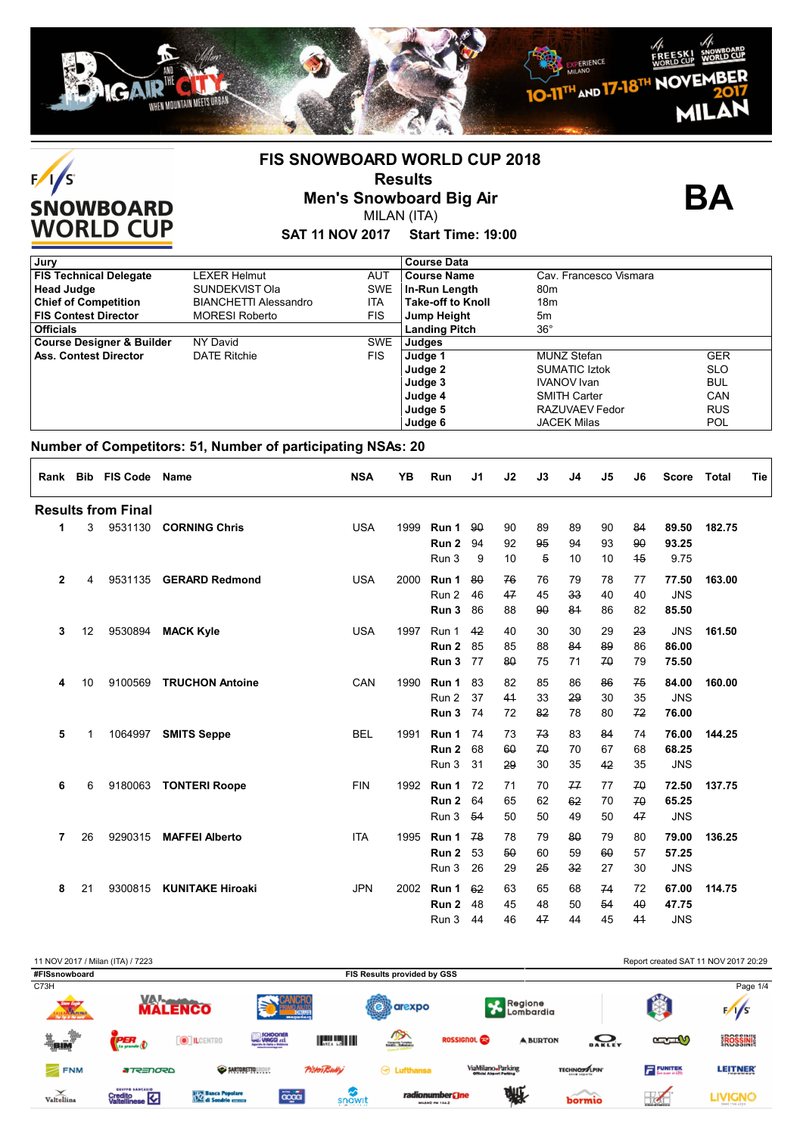



# **FIS SNOWBOARD WORLD CUP 2018 Results**

**Men's Snowboard Big Air** MILAN (ITA)

**BA**

**SAT 11 NOV 2017 Start Time: 19:00**

| Jury                                 |                              |            | <b>Course Data</b>       |                        |            |
|--------------------------------------|------------------------------|------------|--------------------------|------------------------|------------|
| <b>FIS Technical Delegate</b>        | LEXER Helmut                 | <b>AUT</b> | <b>Course Name</b>       | Cav. Francesco Vismara |            |
| <b>Head Judge</b>                    | SUNDEKVIST Ola               | <b>SWE</b> | In-Run Length            | 80 <sub>m</sub>        |            |
| <b>Chief of Competition</b>          | <b>BIANCHETTI Alessandro</b> | ITA        | <b>Take-off to Knoll</b> | 18 <sub>m</sub>        |            |
| <b>FIS Contest Director</b>          | <b>MORESI Roberto</b>        | FIS        | Jump Height              | 5m                     |            |
| <b>Officials</b>                     |                              |            | <b>Landing Pitch</b>     | $36^{\circ}$           |            |
| <b>Course Designer &amp; Builder</b> | NY David                     | <b>SWE</b> | Judges                   |                        |            |
| <b>Ass. Contest Director</b>         | <b>DATE Ritchie</b>          | <b>FIS</b> | Judge 1                  | <b>MUNZ Stefan</b>     | <b>GER</b> |
|                                      |                              |            | Judge 2                  | <b>SUMATIC Iztok</b>   | <b>SLO</b> |
|                                      |                              |            | Judge 3                  | <b>IVANOV</b> Ivan     | <b>BUL</b> |
|                                      |                              |            | Judge 4                  | <b>SMITH Carter</b>    | CAN        |
|                                      |                              |            | Judge 5                  | RAZUVAEV Fedor         | <b>RUS</b> |
|                                      |                              |            | Judge 6                  | <b>JACEK Milas</b>     | <b>POL</b> |

## **Number of Competitors: 51, Number of participating NSAs: 20**

| Rank           |    | <b>Bib FIS Code</b>       | <b>Name</b>             | <b>NSA</b> | <b>YB</b> | Run                       | J1       | J2       | J3       | J <sub>4</sub> | J5       | J <sub>6</sub> | <b>Score</b>        | <b>Total</b> | Tie |
|----------------|----|---------------------------|-------------------------|------------|-----------|---------------------------|----------|----------|----------|----------------|----------|----------------|---------------------|--------------|-----|
|                |    | <b>Results from Final</b> |                         |            |           |                           |          |          |          |                |          |                |                     |              |     |
| 1              | 3  | 9531130                   | <b>CORNING Chris</b>    | <b>USA</b> | 1999      | Run 1                     | -90      | 90       | 89       | 89             | 90       | 84             | 89.50               | 182.75       |     |
|                |    |                           |                         |            |           | Run 2                     | 94       | 92       | 95       | 94             | 93       | 90             | 93.25               |              |     |
|                |    |                           |                         |            |           | Run 3                     | 9        | 10       | 5        | 10             | 10       | 45             | 9.75                |              |     |
| $\overline{2}$ | 4  | 9531135                   | <b>GERARD Redmond</b>   | <b>USA</b> | 2000      | Run 1                     | 80       | 76       | 76       | 79             | 78       | 77             | 77.50               | 163.00       |     |
|                |    |                           |                         |            |           | Run 2                     | 46       | 47       | 45       | 33             | 40       | 40             | <b>JNS</b>          |              |     |
|                |    |                           |                         |            |           | Run 3                     | 86       | 88       | 90       | 81             | 86       | 82             | 85.50               |              |     |
| 3              | 12 | 9530894                   | <b>MACK Kyle</b>        | <b>USA</b> | 1997      | Run 1                     | 42       | 40       | 30       | 30             | 29       | 23             | <b>JNS</b>          | 161.50       |     |
|                |    |                           |                         |            |           | Run 2                     | 85       | 85       | 88       | 84             | 89       | 86             | 86.00               |              |     |
|                |    |                           |                         |            |           | Run 3                     | 77       | 80       | 75       | 71             | 70       | 79             | 75.50               |              |     |
|                |    |                           |                         |            |           |                           |          |          |          |                |          |                |                     |              |     |
| 4              | 10 | 9100569                   | <b>TRUCHON Antoine</b>  | CAN        | 1990      | Run 1                     | 83       | 82       | 85       | 86             | 86       | 75             | 84.00               | 160.00       |     |
|                |    |                           |                         |            |           | Run 2                     | 37       | 41       | 33       | 29             | 30       | 35             | <b>JNS</b>          |              |     |
|                |    |                           |                         |            |           | Run 3                     | 74       | 72       | 82       | 78             | 80       | 72             | 76.00               |              |     |
| 5              | 1  | 1064997                   | <b>SMITS Seppe</b>      | <b>BEL</b> | 1991      | Run 1                     | 74       | 73       | 73       | 83             | 84       | 74             | 76.00               | 144.25       |     |
|                |    |                           |                         |            |           | Run 2                     | 68       | 60       | 70       | 70             | 67       | 68             | 68.25               |              |     |
|                |    |                           |                         |            |           | Run 3                     | 31       | 29       | 30       | 35             | 42       | 35             | <b>JNS</b>          |              |     |
| 6              | 6  | 9180063                   | <b>TONTERI Roope</b>    | <b>FIN</b> | 1992      | Run 1                     | 72       | 71       | 70       | 77             | 77       | 70             | 72.50               | 137.75       |     |
|                |    |                           |                         |            |           | Run 2                     | 64       | 65       | 62       | 62             | 70       | 70             | 65.25               |              |     |
|                |    |                           |                         |            |           | Run 3                     | 54       | 50       | 50       | 49             | 50       | 47             | <b>JNS</b>          |              |     |
| 7              | 26 | 9290315                   | <b>MAFFEI Alberto</b>   | <b>ITA</b> |           | 1995 Run 1                | 78       | 78       | 79       | 80             | 79       | 80             | 79.00               | 136.25       |     |
|                |    |                           |                         |            |           | Run 2                     | 53       | 50       | 60       | 59             | 60       | 57             | 57.25               |              |     |
|                |    |                           |                         |            |           | Run 3                     | 26       | 29       | 25       | 32             | 27       | 30             | <b>JNS</b>          |              |     |
|                |    |                           |                         |            |           |                           |          |          |          |                |          |                |                     |              |     |
| 8              | 21 | 9300815                   | <b>KUNITAKE Hiroaki</b> | <b>JPN</b> | 2002      | Run 1                     | 62       | 63       | 65<br>48 | 68             | 74<br>54 | 72<br>40       | 67.00               | 114.75       |     |
|                |    |                           |                         |            |           | Run <sub>2</sub><br>Run 3 | 48<br>44 | 45<br>46 | 47       | 50<br>44       | 45       | 4 <sup>4</sup> | 47.75<br><b>JNS</b> |              |     |
|                |    |                           |                         |            |           |                           |          |          |          |                |          |                |                     |              |     |

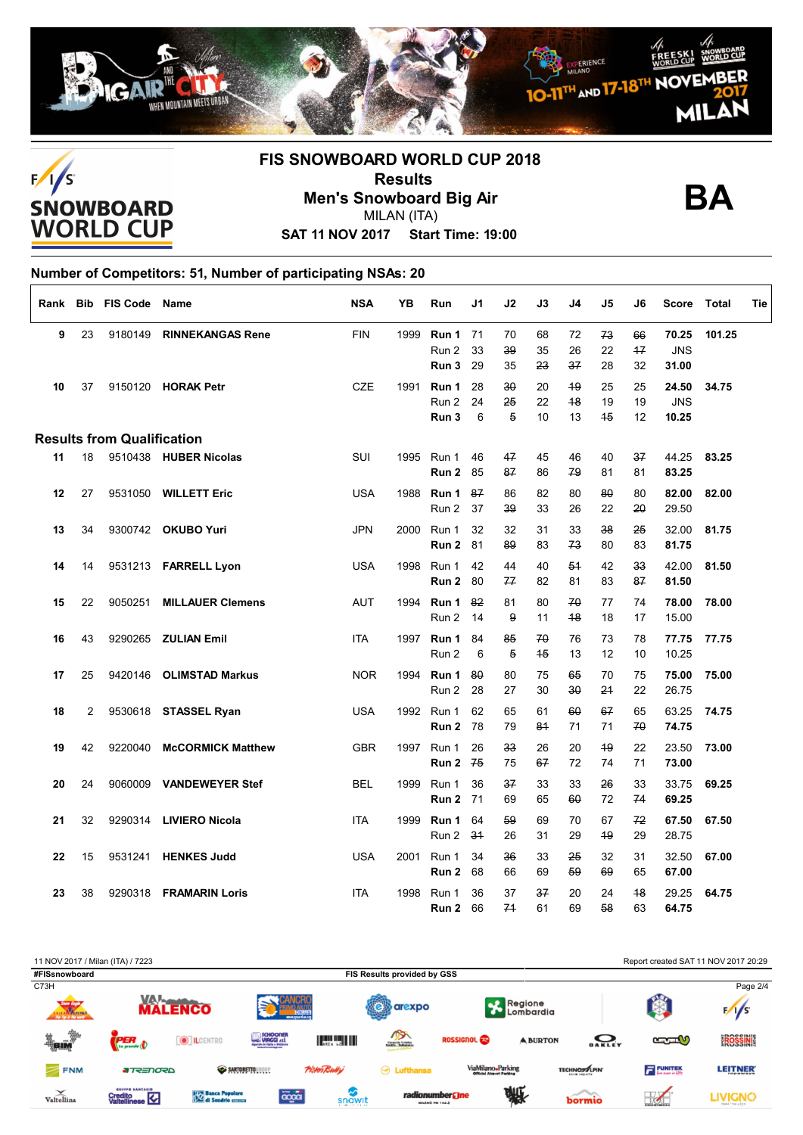



# **FIS SNOWBOARD WORLD CUP 2018 Results Men's Snowboard Big Air** MILAN (ITA)



**SAT 11 NOV 2017 Start Time: 19:00**

### **Number of Competitors: 51, Number of participating NSAs: 20**  $\Gamma$

| Rank | <b>Bib</b> | <b>FIS Code</b>                   | Name                     | <b>NSA</b> | YB   | Run                     | J1             | J2             | J3             | J4             | J5             | J6             | <b>Score</b>                 | Total  | Tie |
|------|------------|-----------------------------------|--------------------------|------------|------|-------------------------|----------------|----------------|----------------|----------------|----------------|----------------|------------------------------|--------|-----|
| 9    | 23         | 9180149                           | <b>RINNEKANGAS Rene</b>  | <b>FIN</b> | 1999 | Run 1<br>Run 2<br>Run 3 | 71<br>33<br>29 | 70<br>39<br>35 | 68<br>35<br>23 | 72<br>26<br>37 | 73<br>22<br>28 | 66<br>17<br>32 | 70.25<br><b>JNS</b><br>31.00 | 101.25 |     |
| 10   | 37         |                                   | 9150120 HORAK Petr       | <b>CZE</b> | 1991 | Run 1<br>Run 2<br>Run 3 | 28<br>24<br>6  | 30<br>25<br>5  | 20<br>22<br>10 | 49<br>48<br>13 | 25<br>19<br>45 | 25<br>19<br>12 | 24.50<br><b>JNS</b><br>10.25 | 34.75  |     |
|      |            | <b>Results from Qualification</b> |                          |            |      |                         |                |                |                |                |                |                |                              |        |     |
| 11   | 18         |                                   | 9510438 HUBER Nicolas    | SUI        | 1995 | Run 1<br>Run 2          | 46<br>85       | 47<br>87       | 45<br>86       | 46<br>79       | 40<br>81       | 37<br>81       | 44.25<br>83.25               | 83.25  |     |
| 12   | 27         |                                   | 9531050 WILLETT Eric     | <b>USA</b> | 1988 | Run 1<br>Run 2          | 87<br>37       | 86<br>39       | 82<br>33       | 80<br>26       | 80<br>22       | 80<br>20       | 82.00<br>29.50               | 82.00  |     |
| 13   | 34         |                                   | 9300742 OKUBO Yuri       | <b>JPN</b> | 2000 | Run 1<br>Run 2          | 32<br>81       | 32<br>89       | 31<br>83       | 33<br>73       | 38<br>80       | 25<br>83       | 32.00<br>81.75               | 81.75  |     |
| 14   | 14         |                                   | 9531213 FARRELL Lyon     | <b>USA</b> | 1998 | Run 1<br>Run 2          | 42<br>80       | 44<br>77       | 40<br>82       | 51<br>81       | 42<br>83       | 33<br>87       | 42.00<br>81.50               | 81.50  |     |
| 15   | 22         | 9050251                           | <b>MILLAUER Clemens</b>  | <b>AUT</b> | 1994 | Run 1<br>Run 2          | 82<br>14       | 81<br>9        | 80<br>11       | 70<br>48       | 77<br>18       | 74<br>17       | 78.00<br>15.00               | 78.00  |     |
| 16   | 43         |                                   | 9290265 ZULIAN Emil      | <b>ITA</b> | 1997 | Run 1<br>Run 2          | 84<br>6        | 85<br>5        | 70<br>45       | 76<br>13       | 73<br>12       | 78<br>10       | 77.75<br>10.25               | 77.75  |     |
| 17   | 25         |                                   | 9420146 OLIMSTAD Markus  | <b>NOR</b> |      | 1994 Run 1<br>Run 2     | 80<br>28       | 80<br>27       | 75<br>30       | 65<br>30       | 70<br>24       | 75<br>22       | 75.00<br>26.75               | 75.00  |     |
| 18   | 2          |                                   | 9530618 STASSEL Ryan     | <b>USA</b> | 1992 | Run 1<br>Run 2          | 62<br>-78      | 65<br>79       | 61<br>84       | 60<br>71       | 67<br>71       | 65<br>70       | 63.25<br>74.75               | 74.75  |     |
| 19   | 42         | 9220040                           | <b>McCORMICK Matthew</b> | <b>GBR</b> | 1997 | Run 1<br>Run 2          | 26<br>75       | 33<br>75       | 26<br>67       | 20<br>72       | 49<br>74       | 22<br>71       | 23.50<br>73.00               | 73.00  |     |
| 20   | 24         |                                   | 9060009 VANDEWEYER Stef  | <b>BEL</b> | 1999 | Run 1<br>Run 2          | 36<br>71       | 37<br>69       | 33<br>65       | 33<br>60       | 26<br>72       | 33<br>74       | 33.75<br>69.25               | 69.25  |     |
| 21   | 32         |                                   | 9290314 LIVIERO Nicola   | <b>ITA</b> | 1999 | Run 1<br>Run 2          | 64<br>34       | 59<br>26       | 69<br>31       | 70<br>29       | 67<br>49       | 72<br>29       | 67.50<br>28.75               | 67.50  |     |
| 22   | 15         | 9531241                           | <b>HENKES Judd</b>       | <b>USA</b> | 2001 | Run 1<br>Run 2          | 34<br>68       | 36<br>66       | 33<br>69       | 25<br>59       | 32<br>69       | 31<br>65       | 32.50<br>67.00               | 67.00  |     |
| 23   | 38         | 9290318                           | <b>FRAMARIN Loris</b>    | <b>ITA</b> | 1998 | Run 1<br>Run 2          | 36<br>66       | 37<br>74       | 37<br>61       | 20<br>69       | 24<br>58       | 48<br>63       | 29.25<br>64.75               | 64.75  |     |

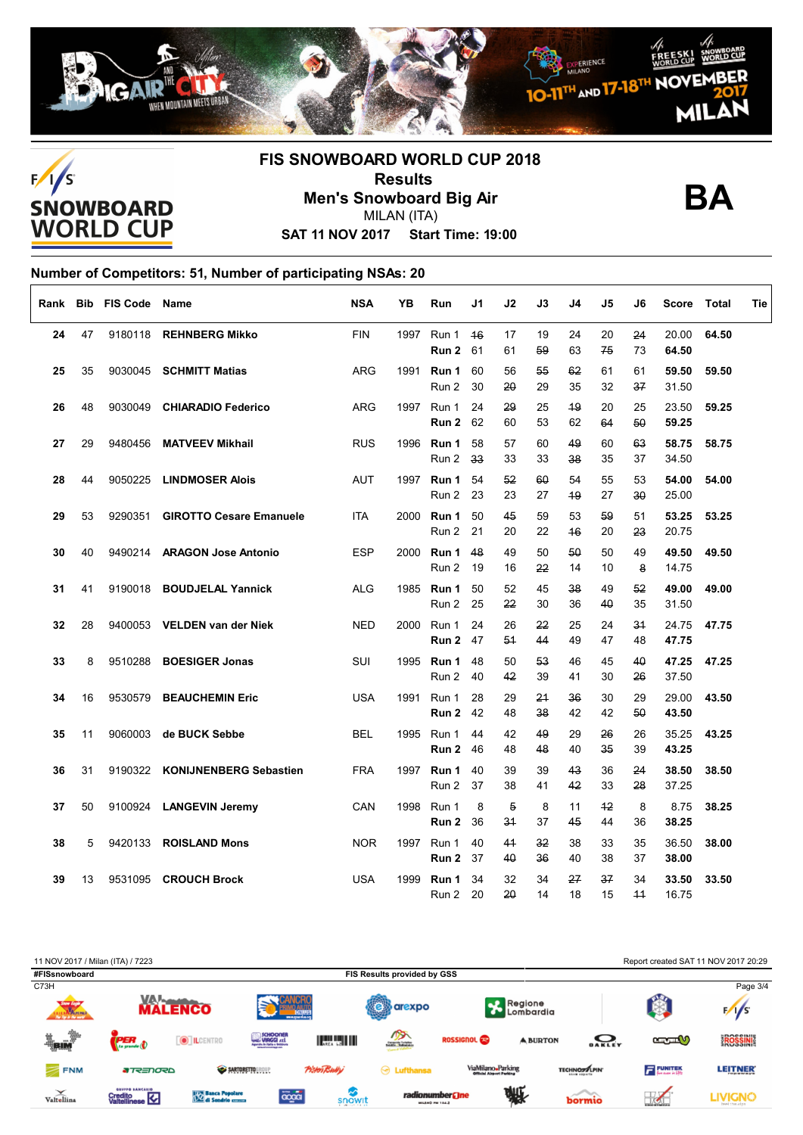



# **FIS SNOWBOARD WORLD CUP 2018 Results Men's Snowboard Big Air** MILAN (ITA)



**SAT 11 NOV 2017 Start Time: 19:00**

### **Number of Competitors: 51, Number of participating NSAs: 20**

| Rank |    | <b>Bib FIS Code Name</b> |                                | <b>NSA</b> | ΥB   | Run                      | J1       | J2       | J3       | J4       | J5         | J6       | Score          | Total | Tie |
|------|----|--------------------------|--------------------------------|------------|------|--------------------------|----------|----------|----------|----------|------------|----------|----------------|-------|-----|
| 24   | 47 | 9180118                  | <b>REHNBERG Mikko</b>          | <b>FIN</b> | 1997 | Run 1<br><b>Run 2 61</b> | 46       | 17<br>61 | 19<br>59 | 24<br>63 | 20<br>75   | 24<br>73 | 20.00<br>64.50 | 64.50 |     |
| 25   | 35 |                          | 9030045 SCHMITT Matias         | <b>ARG</b> |      | 1991 Run 1<br>Run 2      | 60<br>30 | 56<br>20 | 55<br>29 | 62<br>35 | 61<br>32   | 61<br>37 | 59.50<br>31.50 | 59.50 |     |
| 26   | 48 | 9030049                  | <b>CHIARADIO Federico</b>      | <b>ARG</b> |      | 1997 Run 1<br>Run 2      | 24<br>62 | 29<br>60 | 25<br>53 | 49<br>62 | 20<br>64   | 25<br>50 | 23.50<br>59.25 | 59.25 |     |
| 27   | 29 | 9480456                  | <b>MATVEEV Mikhail</b>         | <b>RUS</b> | 1996 | Run 1<br>Run 2           | 58<br>33 | 57<br>33 | 60<br>33 | 49<br>38 | 60<br>35   | 63<br>37 | 58.75<br>34.50 | 58.75 |     |
| 28   | 44 | 9050225                  | <b>LINDMOSER Alois</b>         | <b>AUT</b> |      | 1997 Run 1<br>Run 2      | 54<br>23 | 52<br>23 | 60<br>27 | 54<br>49 | 55<br>27   | 53<br>30 | 54.00<br>25.00 | 54.00 |     |
| 29   | 53 | 9290351                  | <b>GIROTTO Cesare Emanuele</b> | ITA        |      | 2000 Run 1<br>Run 2      | 50<br>21 | 45<br>20 | 59<br>22 | 53<br>46 | 59<br>20   | 51<br>23 | 53.25<br>20.75 | 53.25 |     |
| 30   | 40 | 9490214                  | <b>ARAGON Jose Antonio</b>     | <b>ESP</b> | 2000 | Run 1<br>Run 2           | 48<br>19 | 49<br>16 | 50<br>22 | 50<br>14 | 50<br>10   | 49<br>8  | 49.50<br>14.75 | 49.50 |     |
| 31   | 41 | 9190018                  | <b>BOUDJELAL Yannick</b>       | <b>ALG</b> | 1985 | Run 1<br>Run 2           | 50<br>25 | 52<br>22 | 45<br>30 | 38<br>36 | 49<br>40   | 52<br>35 | 49.00<br>31.50 | 49.00 |     |
| 32   | 28 | 9400053                  | <b>VELDEN van der Niek</b>     | <b>NED</b> | 2000 | Run 1<br>Run 2           | 24<br>47 | 26<br>54 | 22<br>44 | 25<br>49 | 24<br>47   | 34<br>48 | 24.75<br>47.75 | 47.75 |     |
| 33   | 8  | 9510288                  | <b>BOESIGER Jonas</b>          | SUI        |      | 1995 Run 1<br>Run 2      | 48<br>40 | 50<br>42 | 53<br>39 | 46<br>41 | 45<br>30   | 40<br>26 | 47.25<br>37.50 | 47.25 |     |
| 34   | 16 | 9530579                  | <b>BEAUCHEMIN Eric</b>         | <b>USA</b> | 1991 | Run 1<br>Run 2           | 28<br>42 | 29<br>48 | 24<br>38 | 36<br>42 | 30<br>42   | 29<br>50 | 29.00<br>43.50 | 43.50 |     |
| 35   | 11 | 9060003                  | de BUCK Sebbe                  | <b>BEL</b> | 1995 | Run 1<br>Run 2           | 44<br>46 | 42<br>48 | 49<br>48 | 29<br>40 | 26<br>35   | 26<br>39 | 35.25<br>43.25 | 43.25 |     |
| 36   | 31 |                          | 9190322 KONIJNENBERG Sebastien | <b>FRA</b> |      | 1997 Run 1<br>Run 2      | 40<br>37 | 39<br>38 | 39<br>41 | 43<br>42 | 36<br>33   | 24<br>28 | 38.50<br>37.25 | 38.50 |     |
| 37   | 50 |                          | 9100924 LANGEVIN Jeremy        | CAN        | 1998 | Run 1<br>Run 2           | 8<br>36  | 5<br>34  | 8<br>37  | 11<br>45 | $+2$<br>44 | 8<br>36  | 8.75<br>38.25  | 38.25 |     |
| 38   | 5  | 9420133                  | <b>ROISLAND Mons</b>           | <b>NOR</b> |      | 1997 Run 1<br>Run 2      | 40<br>37 | 41<br>40 | 32<br>36 | 38<br>40 | 33<br>38   | 35<br>37 | 36.50<br>38.00 | 38.00 |     |
| 39   | 13 | 9531095                  | <b>CROUCH Brock</b>            | <b>USA</b> | 1999 | Run 1<br>Run 2           | 34<br>20 | 32<br>20 | 34<br>14 | 27<br>18 | 37<br>15   | 34<br>44 | 33.50<br>16.75 | 33.50 |     |